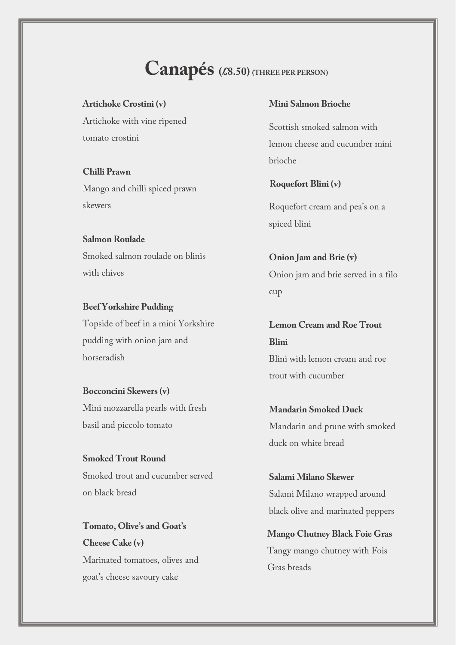# **Canapés (£8.50) (THREE PER PERSON)**

**Artichoke Crostini (v)** Artichoke with vine ripened tomato crostini

**Chilli Prawn** Mango and chilli spiced prawn skewers

**Salmon Roulade** Smoked salmon roulade on blinis with chives

**Beef Yorkshire Pudding** Topside of beef in a mini Yorkshire pudding with onion jam and horseradish

**Bocconcini Skewers(v)** Mini mozzarella pearls with fresh basil and piccolo tomato

**Smoked Trout Round** Smoked trout and cucumber served on black bread

**Tomato, Olive's and Goat's Cheese Cake (v)** Marinated tomatoes, olives and goat's cheese savoury cake

#### **Mini Salmon Brioche**

Scottish smoked salmon with lemon cheese and cucumber mini brioche

**Roquefort Blini (v)**

Roquefort cream and pea's on a spiced blini

**Onion Jam and Brie (v)** Onion jam and brie served in a filo cup

**Lemon Cream and Roe Trout Blini** Blini with lemon cream and roe trout with cucumber

**Mandarin Smoked Duck** Mandarin and prune with smoked duck on white bread

**Salami Milano Skewer** Salami Milano wrapped around black olive and marinated peppers

**Mango Chutney Black Foie Gras**  Tangy mango chutney with Fois Gras breads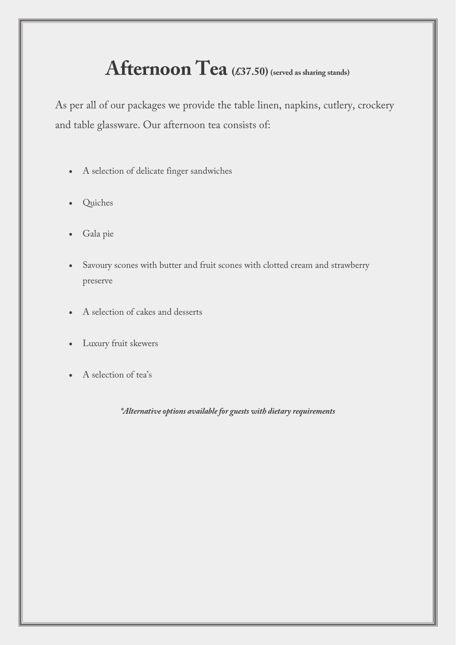# Afternoon Tea (£37.50) (served as sharing stands)

As per all of our packages we provide the table linen, napkins, cutlery, crockery and table glassware. Our afternoon tea consists of:

- A selection of delicate finger sandwiches
- Quiches
- Gala pie
- Savoury scones with butter and fruit scones with clotted cream and strawberry preserve
- A selection of cakes and desserts
- Luxury fruit skewers
- A selection of tea's

*\*Alternative options available for guests with dietary requirements*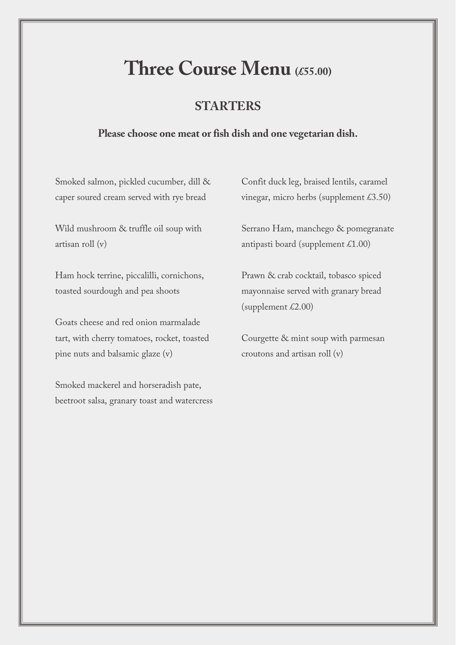# **Three Course Menu (£55.00)**

# **STARTERS**

## **Please choose one meat or fish dish and one vegetarian dish.**

Smoked salmon, pickled cucumber, dill & caper soured cream served with rye bread

Wild mushroom & truffle oil soup with artisan roll (v)

Ham hock terrine, piccalilli, cornichons, toasted sourdough and pea shoots

Goats cheese and red onion marmalade tart, with cherry tomatoes, rocket, toasted pine nuts and balsamic glaze (v)

Smoked mackerel and horseradish pate, beetroot salsa, granary toast and watercress Confit duck leg, braised lentils, caramel vinegar, micro herbs (supplement £3.50)

Serrano Ham, manchego & pomegranate antipasti board (supplement  $\text{\pounds}1.00$ )

Prawn & crab cocktail, tobasco spiced mayonnaise served with granary bread (supplement  $£2.00$ )

Courgette & mint soup with parmesan croutons and artisan roll (v)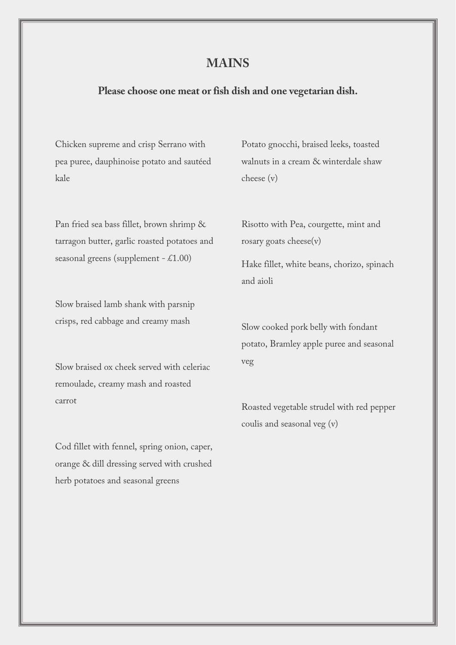## **MAINS**

## **Please choose one meat or fish dish and one vegetarian dish.**

Chicken supreme and crisp Serrano with pea puree, dauphinoise potato and sautéed kale

Potato gnocchi, braised leeks, toasted walnuts in a cream & winterdale shaw cheese (v)

Pan fried sea bass fillet, brown shrimp & tarragon butter, garlic roasted potatoes and seasonal greens (supplement  $-$  £1.00)

Slow braised lamb shank with parsnip crisps, red cabbage and creamy mash

Slow braised ox cheek served with celeriac remoulade, creamy mash and roasted carrot

Cod fillet with fennel, spring onion, caper, orange & dill dressing served with crushed herb potatoes and seasonal greens

Risotto with Pea, courgette, mint and rosary goats cheese(v)

Hake fillet, white beans, chorizo, spinach and aioli

Slow cooked pork belly with fondant potato, Bramley apple puree and seasonal veg

Roasted vegetable strudel with red pepper coulis and seasonal veg (v)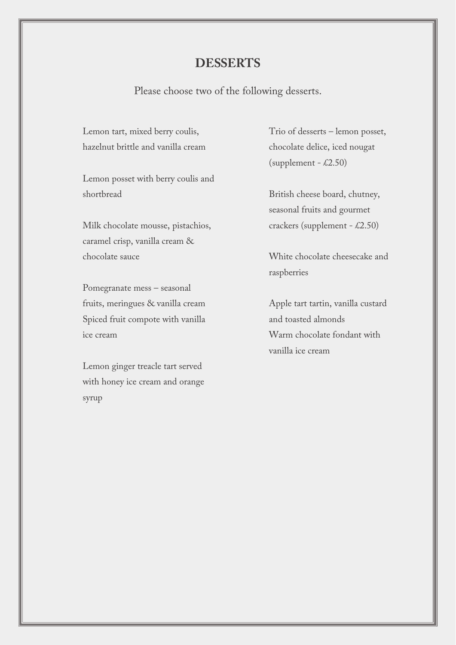## **DESSERTS**

Please choose two of the following desserts.

Lemon tart, mixed berry coulis, hazelnut brittle and vanilla cream

Lemon posset with berry coulis and shortbread

Milk chocolate mousse, pistachios, caramel crisp, vanilla cream & chocolate sauce

Pomegranate mess – seasonal fruits, meringues & vanilla cream Spiced fruit compote with vanilla ice cream

Lemon ginger treacle tart served with honey ice cream and orange syrup

Trio of desserts – lemon posset, chocolate delice, iced nougat  $(supplement - \pounds2.50)$ 

British cheese board, chutney, seasonal fruits and gourmet crackers (supplement - £2.50)

White chocolate cheesecake and raspberries

Apple tart tartin, vanilla custard and toasted almonds Warm chocolate fondant with vanilla ice cream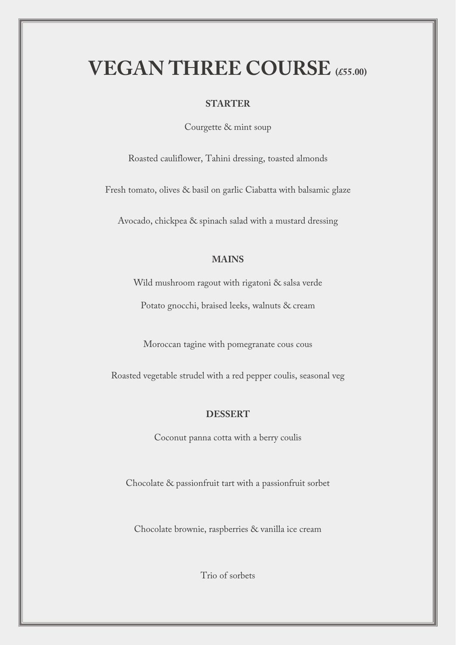# **VEGAN THREE COURSE (£55.00)**

#### **STARTER**

Courgette & mint soup

Roasted cauliflower, Tahini dressing, toasted almonds

Fresh tomato, olives & basil on garlic Ciabatta with balsamic glaze

Avocado, chickpea & spinach salad with a mustard dressing

#### **MAINS**

Wild mushroom ragout with rigatoni & salsa verde

Potato gnocchi, braised leeks, walnuts & cream

Moroccan tagine with pomegranate cous cous

Roasted vegetable strudel with a red pepper coulis, seasonal veg

#### **DESSERT**

Coconut panna cotta with a berry coulis

Chocolate & passionfruit tart with a passionfruit sorbet

Chocolate brownie, raspberries & vanilla ice cream

Trio of sorbets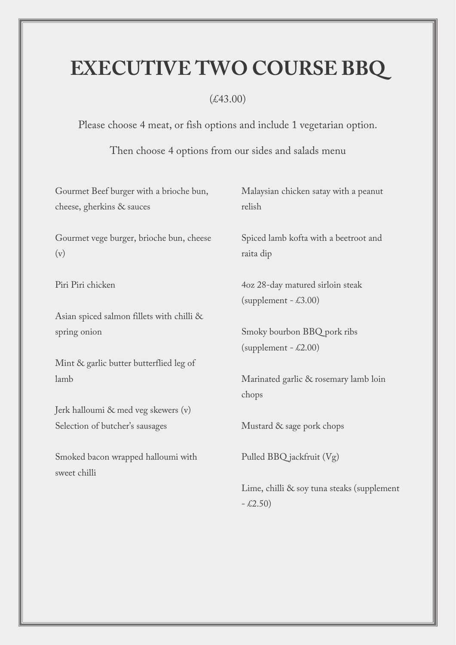# **EXECUTIVE TWO COURSE BBQ**

# (£43.00)

Please choose 4 meat, or fish options and include 1 vegetarian option.

Then choose 4 options from our sides and salads menu

| Gourmet Beef burger with a brioche bun,   | Malaysian chicken satay with a peanut      |
|-------------------------------------------|--------------------------------------------|
| cheese, gherkins & sauces                 | relish                                     |
| Gourmet vege burger, brioche bun, cheese  | Spiced lamb kofta with a beetroot and      |
| (v)                                       | raita dip                                  |
| Piri Piri chicken                         | 4oz 28-day matured sirloin steak           |
|                                           | (supplement $-$ £3.00)                     |
| Asian spiced salmon fillets with chilli & |                                            |
| spring onion                              | Smoky bourbon BBQ pork ribs                |
|                                           | (supplement $-$ £2.00)                     |
| Mint & garlic butter butterflied leg of   |                                            |
| lamb                                      | Marinated garlic & rosemary lamb loin      |
|                                           | chops                                      |
| Jerk halloumi & med veg skewers (v)       |                                            |
| Selection of butcher's sausages           | Mustard & sage pork chops                  |
| Smoked bacon wrapped halloumi with        | Pulled BBQ jackfruit (Vg)                  |
| sweet chilli                              |                                            |
|                                           | Lime, chilli & soy tuna steaks (supplement |
|                                           | $-2.50$                                    |
|                                           |                                            |
|                                           |                                            |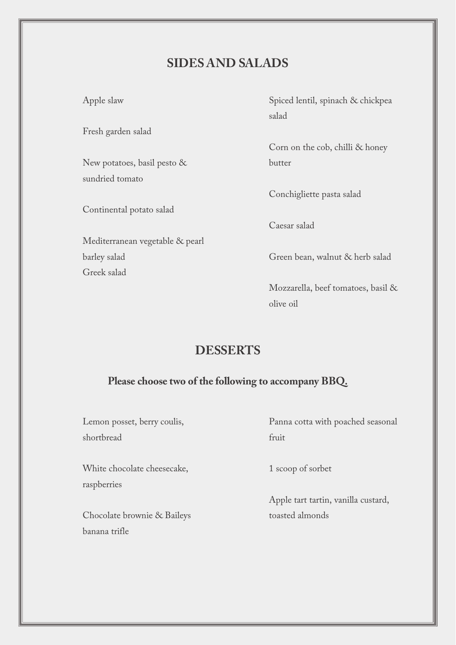# **SIDES AND SALADS**

Apple slaw

Fresh garden salad

New potatoes, basil pesto & sundried tomato

Continental potato salad

Mediterranean vegetable & pearl barley salad Greek salad

Spiced lentil, spinach & chickpea salad

Corn on the cob, chilli & honey butter

Conchigliette pasta salad

Caesar salad

Green bean, walnut & herb salad

Mozzarella, beef tomatoes, basil & olive oil

# **DESSERTS**

## **Please choose two of the following to accompany BBQ.**

Lemon posset, berry coulis, shortbread

White chocolate cheesecake, raspberries

Chocolate brownie & Baileys banana trifle

Panna cotta with poached seasonal fruit

1 scoop of sorbet

Apple tart tartin, vanilla custard, toasted almonds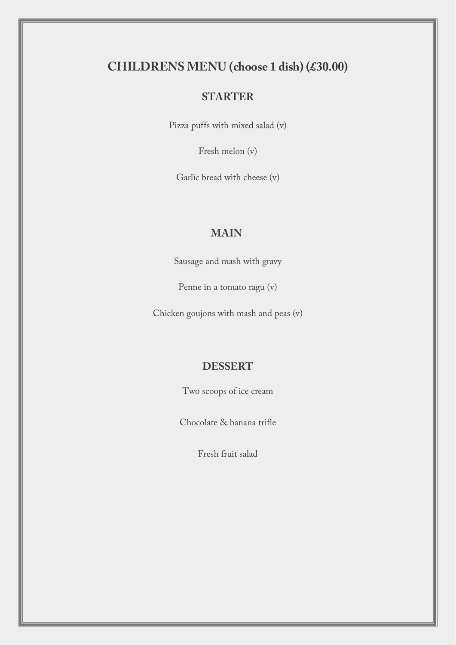# **CHILDRENS MENU (choose 1 dish) (£30.00)**

## **STARTER**

Pizza puffs with mixed salad (v)

Fresh melon (v)

Garlic bread with cheese (v)

## **MAIN**

Sausage and mash with gravy

Penne in a tomato ragu (v)

Chicken goujons with mash and peas (v)

### **DESSERT**

Two scoops of ice cream

Chocolate & banana trifle

Fresh fruit salad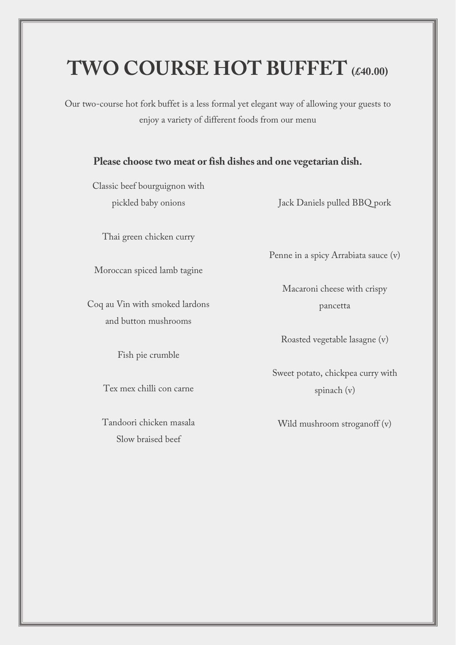# **TWO COURSE HOT BUFFET (£40.00)**

Our two-course hot fork buffet is a less formal yet elegant way of allowing your guests to enjoy a variety of different foods from our menu

## **Please choose two meat or fish dishes and one vegetarian dish.**

Classic beef bourguignon with pickled baby onions

Thai green chicken curry

Moroccan spiced lamb tagine

Coq au Vin with smoked lardons and button mushrooms

Fish pie crumble

Tex mex chilli con carne

Tandoori chicken masala Slow braised beef

Jack Daniels pulled BBQ pork

Penne in a spicy Arrabiata sauce (v)

Macaroni cheese with crispy pancetta

Roasted vegetable lasagne (v)

Sweet potato, chickpea curry with spinach (v)

Wild mushroom stroganoff (v)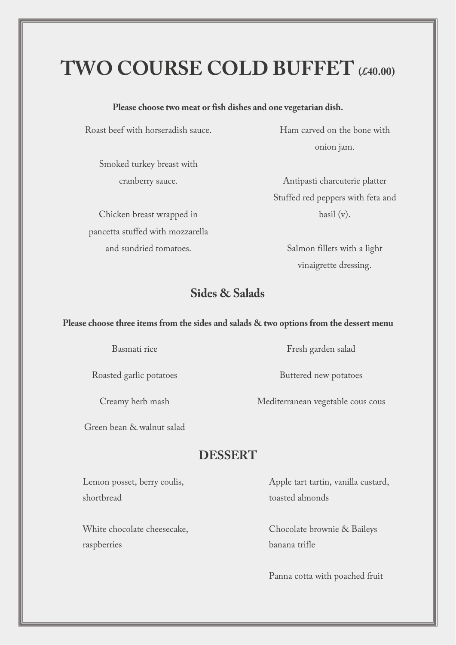# **TWO COURSE COLD BUFFET (£40.00)**

#### **Please choose two meat or fish dishes and one vegetarian dish.**

Roast beef with horseradish sauce.

Smoked turkey breast with cranberry sauce.

Chicken breast wrapped in pancetta stuffed with mozzarella and sundried tomatoes.

Ham carved on the bone with onion jam.

Antipasti charcuterie platter Stuffed red peppers with feta and basil (v).

> Salmon fillets with a light vinaigrette dressing.

# **Sides & Salads**

#### **Please choose three items from the sides and salads & two options from the dessert menu**

Basmati rice

Roasted garlic potatoes

Creamy herb mash

Green bean & walnut salad

# **DESSERT**

Lemon posset, berry coulis, shortbread

White chocolate cheesecake, raspberries

Apple tart tartin, vanilla custard, toasted almonds

Chocolate brownie & Baileys banana trifle

Panna cotta with poached fruit

Fresh garden salad

Buttered new potatoes

Mediterranean vegetable cous cous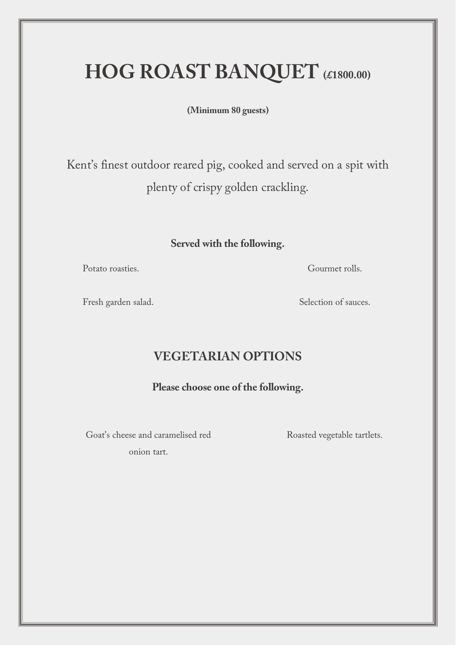# **HOG ROAST BANQUET (£1800.00)**

**(Minimum 80 guests)**

Kent's finest outdoor reared pig, cooked and served on a spit with plenty of crispy golden crackling.

# **Served with the following.**

Potato roasties.

Gourmet rolls.

Fresh garden salad.

Selection of sauces.

# **VEGETARIAN OPTIONS**

### **Please choose one of the following.**

Goat's cheese and caramelised red onion tart.

Roasted vegetable tartlets.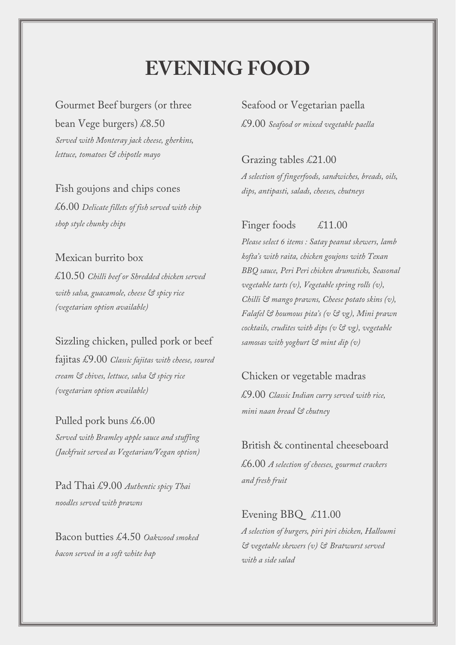# **EVENING FOOD**

Gourmet Beef burgers (or three bean Vege burgers) £8.50 *Served with Monteray jack cheese, gherkins, lettuce, tomatoes & chipotle mayo*

Fish goujons and chips cones £6.00 *Delicate fillets of fish served with chip shop style chunky chips*

### Mexican burrito box

£10.50 *Chilli beef or Shredded chicken served with salsa, guacamole, cheese & spicy rice (vegetarian option available)*

### Sizzling chicken, pulled pork or beef

fajitas £9.00 *Classic fajitas with cheese, soured cream & chives, lettuce, salsa & spicy rice (vegetarian option available)*

Pulled pork buns £6.00 *Served with Bramley apple sauce and stuffing (Jackfruit served as Vegetarian/Vegan option)*

Pad Thai £9.00 *Authentic spicy Thai noodles served with prawns*

Bacon butties £4.50 *Oakwood smoked bacon served in a soft white bap*

Seafood or Vegetarian paella £9.00 *Seafood or mixed vegetable paella*

### Grazing tables £21.00

*A selection of fingerfoods, sandwiches, breads, oils, dips, antipasti, salads, cheeses, chutneys*

## Finger foods £11.00

*Please select 6 items : Satay peanut skewers, lamb kofta's with raita, chicken goujons with Texan BBQ sauce, Peri Peri chicken drumsticks, Seasonal vegetable tarts (v), Vegetable spring rolls (v), Chilli & mango prawns, Cheese potato skins (v), Falafel & houmous pita's (v & vg), Mini prawn cocktails, crudites with dips (v & vg), vegetable samosas with yoghurt & mint dip (v)*

### Chicken or vegetable madras

£9.00 *Classic Indian curry served with rice, mini naan bread & chutney*

#### British & continental cheeseboard

£6.00 *A selection of cheeses, gourmet crackers and fresh fruit*

### Evening BBQ £11.00

*A selection of burgers, piri piri chicken, Halloumi & vegetable skewers (v) & Bratwurst served with a side salad*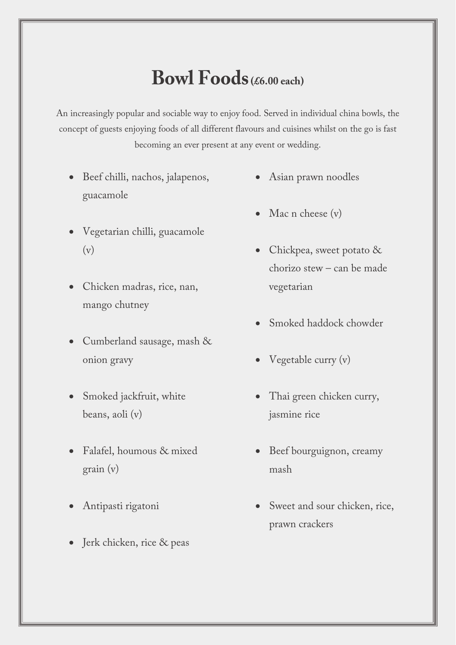# **Bowl Foods(£6.00 each)**

An increasingly popular and sociable way to enjoy food. Served in individual china bowls, the concept of guests enjoying foods of all different flavours and cuisines whilst on the go is fast becoming an ever present at any event or wedding.

- Beef chilli, nachos, jalapenos, guacamole
- Vegetarian chilli, guacamole (v)
- Chicken madras, rice, nan, mango chutney
- Cumberland sausage, mash & onion gravy
- Smoked jackfruit, white beans, aoli (v)
- Falafel, houmous & mixed grain (v)
- Antipasti rigatoni
- Jerk chicken, rice & peas
- Asian prawn noodles
- Mac n cheese (v)
- Chickpea, sweet potato & chorizo stew – can be made vegetarian
- Smoked haddock chowder
- Vegetable curry (v)
- Thai green chicken curry, jasmine rice
- Beef bourguignon, creamy mash
- Sweet and sour chicken, rice, prawn crackers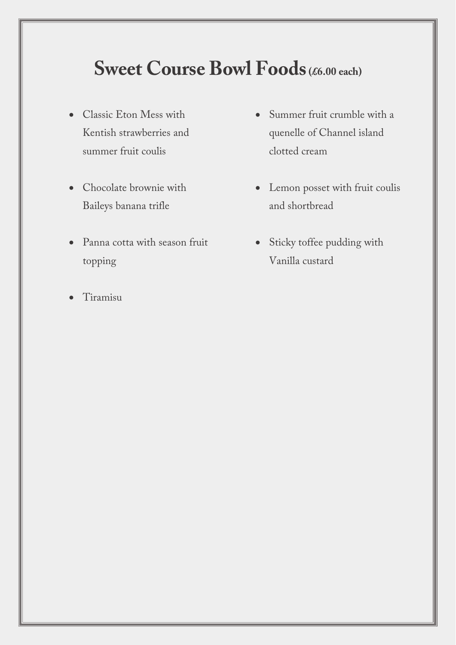# **Sweet Course Bowl Foods** (£6.00 each)

- Classic Eton Mess with Kentish strawberries and summer fruit coulis
- Chocolate brownie with Baileys banana trifle
- Panna cotta with season fruit topping
- Tiramisu
- Summer fruit crumble with a quenelle of Channel island clotted cream
- Lemon posset with fruit coulis and shortbread
- Sticky toffee pudding with Vanilla custard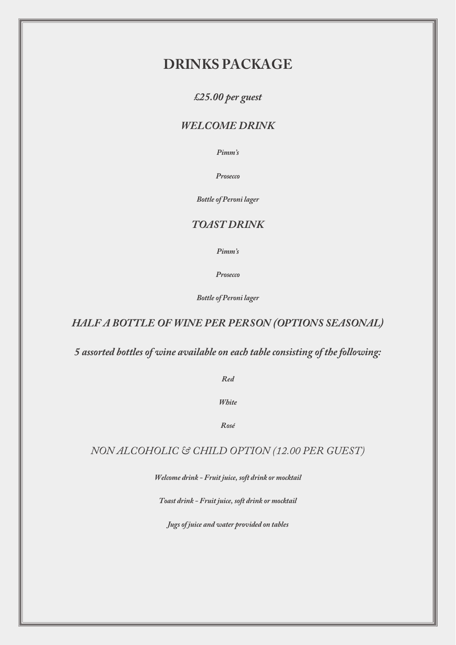# **DRINKS PACKAGE**

*£25.00 per guest* 

### *WELCOME DRINK*

*Pimm's*

*Prosecco*

*Bottle of Peroni lager* 

### *TOAST DRINK*

*Pimm's*

*Prosecco*

*Bottle of Peroni lager* 

## *HALF A BOTTLE OF WINE PER PERSON (OPTIONS SEASONAL)*

*5 assorted bottles of wine available on each table consisting of the following:*

*Red* 

*White* 

*Rosé*

*NON ALCOHOLIC & CHILD OPTION (12.00 PER GUEST)*

*Welcome drink - Fruit juice, soft drink or mocktail* 

*Toast drink - Fruit juice, soft drink or mocktail* 

*Jugs of juice and water provided on tables*